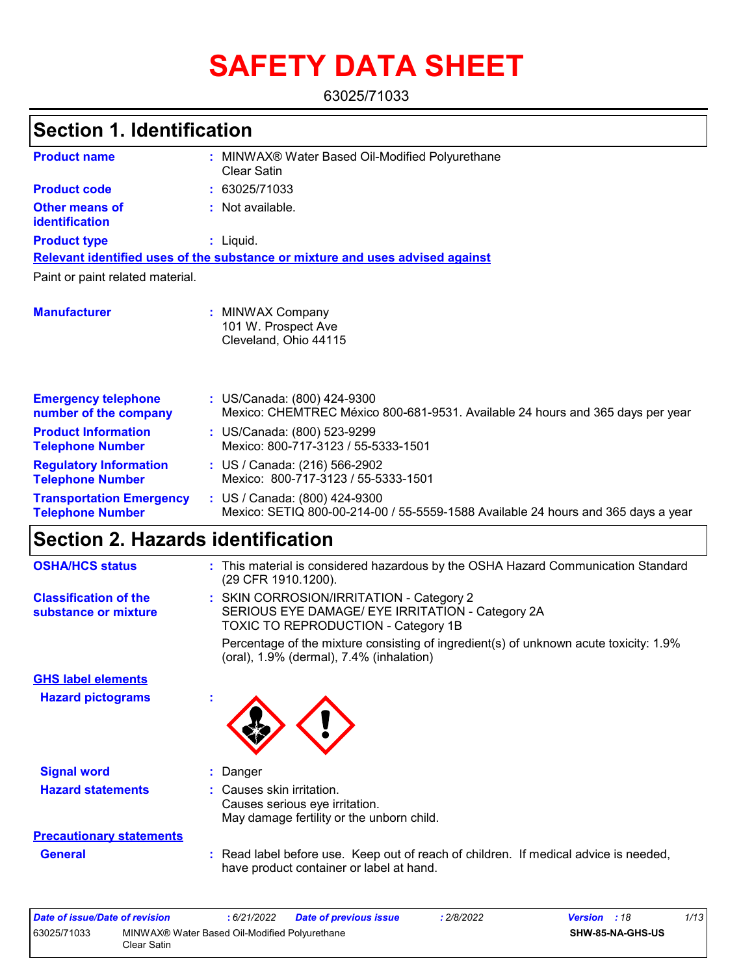# **SAFETY DATA SHEET**

63025/71033

#### MINWAX® Water Based Oil-Modified Polyurethane **:** Clear Satin Not available. **:** Liquid. **:** US/Canada: (800) 424-9300 **:** Mexico: CHEMTREC México 800-681-9531. Available 24 hours and 365 days per year **Product name Other means of identification Product type Emergency telephone number of the company Section 1. Identification Manufacturer :** MINWAX Company 101 W. Prospect Ave Cleveland, Ohio 44115 **Relevant identified uses of the substance or mixture and uses advised against** Paint or paint related material. **Product code :** 63025/71033 **Product Information Telephone Number :** US/Canada: (800) 523-9299 Mexico: 800-717-3123 / 55-5333-1501 **Regulatory Information Telephone Number :** US / Canada: (216) 566-2902 Mexico: 800-717-3123 / 55-5333-1501 **Transportation Emergency Telephone Number :** US / Canada: (800) 424-9300 Mexico: SETIQ 800-00-214-00 / 55-5559-1588 Available 24 hours and 365 days a year **Section 2. Hazards identification OSHA/HCS status :** This material is considered hazardous by the OSHA Hazard Communication Standard (29 CFR 1910.1200).

|                                                      | (29 CFR 1910.1200).                                                                                                                     |
|------------------------------------------------------|-----------------------------------------------------------------------------------------------------------------------------------------|
| <b>Classification of the</b><br>substance or mixture | : SKIN CORROSION/IRRITATION - Category 2<br>SERIOUS EYE DAMAGE/ EYE IRRITATION - Category 2A<br>TOXIC TO REPRODUCTION - Category 1B     |
|                                                      | Percentage of the mixture consisting of ingredient(s) of unknown acute toxicity: 1.9%<br>(oral), $1.9\%$ (dermal), $7.4\%$ (inhalation) |
| <b>GHS label elements</b>                            |                                                                                                                                         |
| <b>Hazard pictograms</b>                             |                                                                                                                                         |
| <b>Signal word</b>                                   | : Danger                                                                                                                                |
| <b>Hazard statements</b>                             | : Causes skin irritation.<br>Causes serious eye irritation.<br>May damage fertility or the unborn child.                                |
| <b>Precautionary statements</b>                      |                                                                                                                                         |
| <b>General</b>                                       | : Read label before use. Keep out of reach of children. If medical advice is needed,<br>have product container or label at hand.        |

| Date of issue/Date of revision |                                                              | : 6/21/2022 | <b>Date of previous issue</b> | : 2/8/2022 | <b>Version</b> : 18     | 1/13 |
|--------------------------------|--------------------------------------------------------------|-------------|-------------------------------|------------|-------------------------|------|
| 63025/71033                    | MINWAX® Water Based Oil-Modified Polyurethane<br>Clear Satin |             |                               |            | <b>SHW-85-NA-GHS-US</b> |      |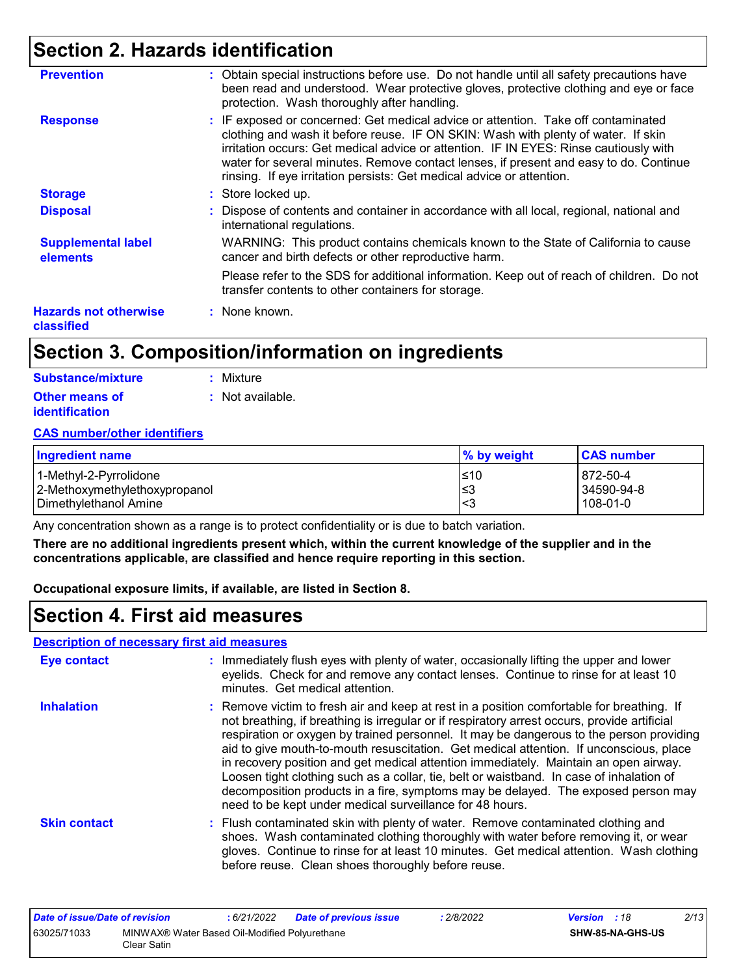## **Section 2. Hazards identification**

| <b>Prevention</b>                          | : Obtain special instructions before use. Do not handle until all safety precautions have<br>been read and understood. Wear protective gloves, protective clothing and eye or face<br>protection. Wash thoroughly after handling.                                                                                                                                                                                                 |
|--------------------------------------------|-----------------------------------------------------------------------------------------------------------------------------------------------------------------------------------------------------------------------------------------------------------------------------------------------------------------------------------------------------------------------------------------------------------------------------------|
| <b>Response</b>                            | : IF exposed or concerned: Get medical advice or attention. Take off contaminated<br>clothing and wash it before reuse. IF ON SKIN: Wash with plenty of water. If skin<br>irritation occurs: Get medical advice or attention. IF IN EYES: Rinse cautiously with<br>water for several minutes. Remove contact lenses, if present and easy to do. Continue<br>rinsing. If eye irritation persists: Get medical advice or attention. |
| <b>Storage</b>                             | : Store locked up.                                                                                                                                                                                                                                                                                                                                                                                                                |
| <b>Disposal</b>                            | : Dispose of contents and container in accordance with all local, regional, national and<br>international regulations.                                                                                                                                                                                                                                                                                                            |
| <b>Supplemental label</b><br>elements      | WARNING: This product contains chemicals known to the State of California to cause<br>cancer and birth defects or other reproductive harm.                                                                                                                                                                                                                                                                                        |
|                                            | Please refer to the SDS for additional information. Keep out of reach of children. Do not<br>transfer contents to other containers for storage.                                                                                                                                                                                                                                                                                   |
| <b>Hazards not otherwise</b><br>classified | : None known.                                                                                                                                                                                                                                                                                                                                                                                                                     |

## **Section 3. Composition/information on ingredients**

| Substance/mixture     | : Mixture        |
|-----------------------|------------------|
| <b>Other means of</b> | : Not available. |
| <i>identification</i> |                  |

#### **CAS number/other identifiers**

| <b>Ingredient name</b>        | % by weight | <b>CAS number</b> |
|-------------------------------|-------------|-------------------|
| l 1-Methvl-2-Pvrrolidone      | 510         | 872-50-4          |
| 2-Methoxymethylethoxypropanol | ≤3          | 34590-94-8        |
| l Dimethylethanol Amine       | -<3         | 108-01-0          |

Any concentration shown as a range is to protect confidentiality or is due to batch variation.

**There are no additional ingredients present which, within the current knowledge of the supplier and in the concentrations applicable, are classified and hence require reporting in this section.**

**Occupational exposure limits, if available, are listed in Section 8.**

## **Section 4. First aid measures**

#### **Description of necessary first aid measures**

| Eye contact         | : Immediately flush eyes with plenty of water, occasionally lifting the upper and lower<br>eyelids. Check for and remove any contact lenses. Continue to rinse for at least 10<br>minutes. Get medical attention.                                                                                                                                                                                                                                                                                                                                                                                                                                                                                                    |
|---------------------|----------------------------------------------------------------------------------------------------------------------------------------------------------------------------------------------------------------------------------------------------------------------------------------------------------------------------------------------------------------------------------------------------------------------------------------------------------------------------------------------------------------------------------------------------------------------------------------------------------------------------------------------------------------------------------------------------------------------|
| <b>Inhalation</b>   | : Remove victim to fresh air and keep at rest in a position comfortable for breathing. If<br>not breathing, if breathing is irregular or if respiratory arrest occurs, provide artificial<br>respiration or oxygen by trained personnel. It may be dangerous to the person providing<br>aid to give mouth-to-mouth resuscitation. Get medical attention. If unconscious, place<br>in recovery position and get medical attention immediately. Maintain an open airway.<br>Loosen tight clothing such as a collar, tie, belt or waistband.  In case of inhalation of<br>decomposition products in a fire, symptoms may be delayed. The exposed person may<br>need to be kept under medical surveillance for 48 hours. |
| <b>Skin contact</b> | : Flush contaminated skin with plenty of water. Remove contaminated clothing and<br>shoes. Wash contaminated clothing thoroughly with water before removing it, or wear<br>gloves. Continue to rinse for at least 10 minutes. Get medical attention. Wash clothing<br>before reuse. Clean shoes thoroughly before reuse.                                                                                                                                                                                                                                                                                                                                                                                             |

| Date of issue/Date of revision |                                                              | : 6/21/2022 | <b>Date of previous issue</b> | 2/8/2022 | <b>Version</b> : 18 |                         | 2/13 |
|--------------------------------|--------------------------------------------------------------|-------------|-------------------------------|----------|---------------------|-------------------------|------|
| 63025/71033                    | MINWAX® Water Based Oil-Modified Polyurethane<br>Clear Satin |             |                               |          |                     | <b>SHW-85-NA-GHS-US</b> |      |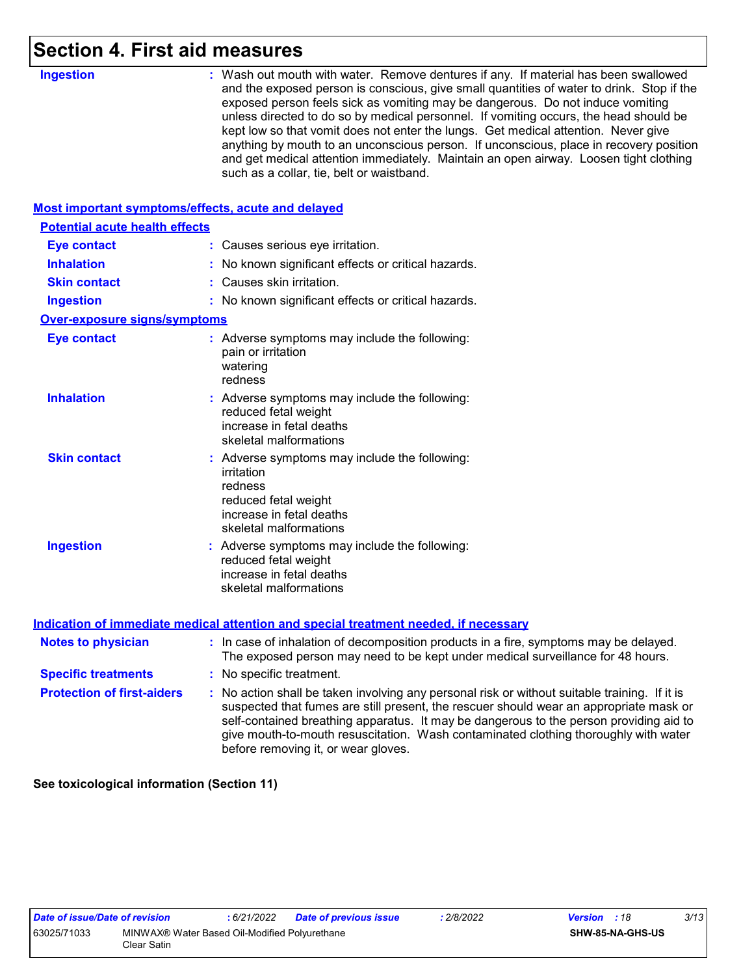### **Section 4. First aid measures**

| <b>Ingestion</b>                                   | : Wash out mouth with water. Remove dentures if any. If material has been swallowed<br>and the exposed person is conscious, give small quantities of water to drink. Stop if the<br>exposed person feels sick as vomiting may be dangerous. Do not induce vomiting<br>unless directed to do so by medical personnel. If vomiting occurs, the head should be<br>kept low so that vomit does not enter the lungs. Get medical attention. Never give<br>anything by mouth to an unconscious person. If unconscious, place in recovery position<br>and get medical attention immediately. Maintain an open airway. Loosen tight clothing<br>such as a collar, tie, belt or waistband. |
|----------------------------------------------------|-----------------------------------------------------------------------------------------------------------------------------------------------------------------------------------------------------------------------------------------------------------------------------------------------------------------------------------------------------------------------------------------------------------------------------------------------------------------------------------------------------------------------------------------------------------------------------------------------------------------------------------------------------------------------------------|
| Most important symptoms/effects, acute and delayed |                                                                                                                                                                                                                                                                                                                                                                                                                                                                                                                                                                                                                                                                                   |
| <b>Potential acute health effects</b>              |                                                                                                                                                                                                                                                                                                                                                                                                                                                                                                                                                                                                                                                                                   |
| <b>Eye contact</b>                                 | : Causes serious eye irritation.                                                                                                                                                                                                                                                                                                                                                                                                                                                                                                                                                                                                                                                  |
| <b>Inhalation</b>                                  | : No known significant effects or critical hazards.                                                                                                                                                                                                                                                                                                                                                                                                                                                                                                                                                                                                                               |
| <b>Skin contact</b>                                | : Causes skin irritation.                                                                                                                                                                                                                                                                                                                                                                                                                                                                                                                                                                                                                                                         |
| <b>Ingestion</b>                                   | : No known significant effects or critical hazards.                                                                                                                                                                                                                                                                                                                                                                                                                                                                                                                                                                                                                               |
| <b>Over-exposure signs/symptoms</b>                |                                                                                                                                                                                                                                                                                                                                                                                                                                                                                                                                                                                                                                                                                   |
| <b>Eye contact</b>                                 | : Adverse symptoms may include the following:<br>pain or irritation<br>watering<br>redness                                                                                                                                                                                                                                                                                                                                                                                                                                                                                                                                                                                        |
| <b>Inhalation</b>                                  | : Adverse symptoms may include the following:<br>reduced fetal weight<br>increase in fetal deaths<br>skeletal malformations                                                                                                                                                                                                                                                                                                                                                                                                                                                                                                                                                       |
| <b>Skin contact</b>                                | : Adverse symptoms may include the following:<br>irritation<br>redness<br>reduced fetal weight<br>increase in fetal deaths<br>skeletal malformations                                                                                                                                                                                                                                                                                                                                                                                                                                                                                                                              |
| <b>Ingestion</b>                                   | : Adverse symptoms may include the following:<br>reduced fetal weight<br>increase in fetal deaths<br>skeletal malformations                                                                                                                                                                                                                                                                                                                                                                                                                                                                                                                                                       |
|                                                    | <b>Indication of immediate medical attention and special treatment needed, if necessary</b>                                                                                                                                                                                                                                                                                                                                                                                                                                                                                                                                                                                       |
| <b>Notes to physician</b>                          | : In case of inhalation of decomposition products in a fire, symptoms may be delayed.<br>The exposed person may need to be kept under medical surveillance for 48 hours.                                                                                                                                                                                                                                                                                                                                                                                                                                                                                                          |
| <b>Specific treatments</b>                         | : No specific treatment.                                                                                                                                                                                                                                                                                                                                                                                                                                                                                                                                                                                                                                                          |
| <b>Protection of first-aiders</b>                  | : No action shall be taken involving any personal risk or without suitable training. If it is<br>suspected that fumes are still present, the rescuer should wear an appropriate mask or<br>self-contained breathing apparatus. It may be dangerous to the person providing aid to                                                                                                                                                                                                                                                                                                                                                                                                 |

**See toxicological information (Section 11)**

before removing it, or wear gloves.

give mouth-to-mouth resuscitation. Wash contaminated clothing thoroughly with water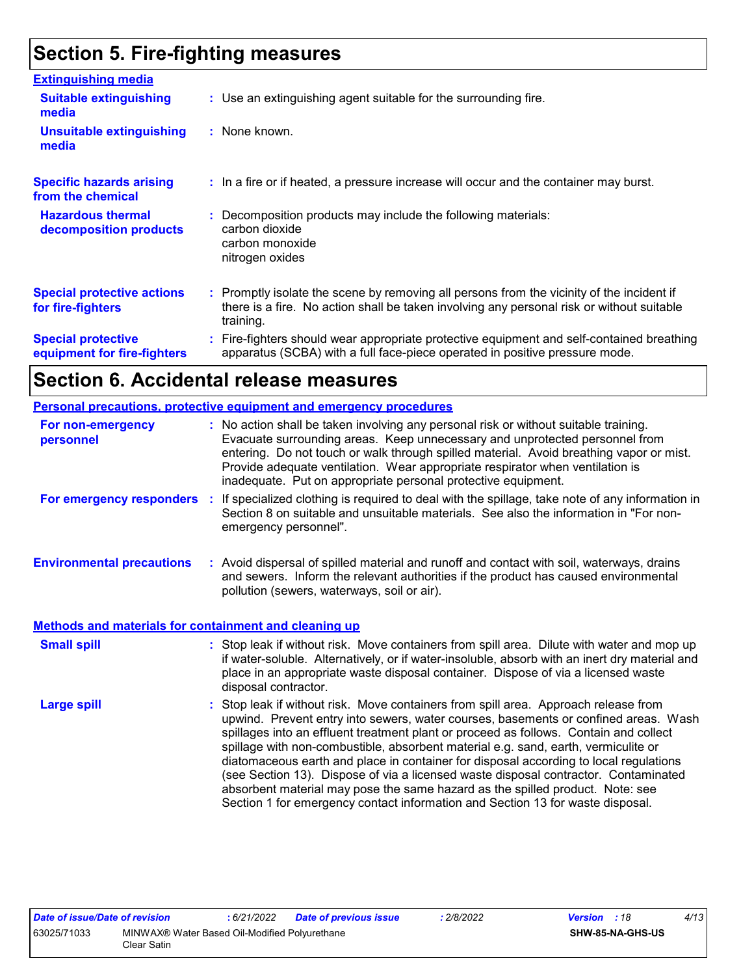## **Section 5. Fire-fighting measures**

| <b>Extinguishing media</b>                               |                                                                                                                                                                                                     |
|----------------------------------------------------------|-----------------------------------------------------------------------------------------------------------------------------------------------------------------------------------------------------|
| <b>Suitable extinguishing</b><br>media                   | : Use an extinguishing agent suitable for the surrounding fire.                                                                                                                                     |
| <b>Unsuitable extinguishing</b><br>media                 | : None known.                                                                                                                                                                                       |
| <b>Specific hazards arising</b><br>from the chemical     | : In a fire or if heated, a pressure increase will occur and the container may burst.                                                                                                               |
| <b>Hazardous thermal</b><br>decomposition products       | : Decomposition products may include the following materials:<br>carbon dioxide<br>carbon monoxide<br>nitrogen oxides                                                                               |
| <b>Special protective actions</b><br>for fire-fighters   | : Promptly isolate the scene by removing all persons from the vicinity of the incident if<br>there is a fire. No action shall be taken involving any personal risk or without suitable<br>training. |
| <b>Special protective</b><br>equipment for fire-fighters | Fire-fighters should wear appropriate protective equipment and self-contained breathing<br>apparatus (SCBA) with a full face-piece operated in positive pressure mode.                              |

## **Section 6. Accidental release measures**

|                                                       | <b>Personal precautions, protective equipment and emergency procedures</b>                                                                                                                                                                                                                                                                                                                                                                                                                                                                                                                                                                                                                                   |
|-------------------------------------------------------|--------------------------------------------------------------------------------------------------------------------------------------------------------------------------------------------------------------------------------------------------------------------------------------------------------------------------------------------------------------------------------------------------------------------------------------------------------------------------------------------------------------------------------------------------------------------------------------------------------------------------------------------------------------------------------------------------------------|
| For non-emergency<br>personnel                        | : No action shall be taken involving any personal risk or without suitable training.<br>Evacuate surrounding areas. Keep unnecessary and unprotected personnel from<br>entering. Do not touch or walk through spilled material. Avoid breathing vapor or mist.<br>Provide adequate ventilation. Wear appropriate respirator when ventilation is<br>inadequate. Put on appropriate personal protective equipment.                                                                                                                                                                                                                                                                                             |
| For emergency responders                              | : If specialized clothing is required to deal with the spillage, take note of any information in<br>Section 8 on suitable and unsuitable materials. See also the information in "For non-<br>emergency personnel".                                                                                                                                                                                                                                                                                                                                                                                                                                                                                           |
| <b>Environmental precautions</b>                      | : Avoid dispersal of spilled material and runoff and contact with soil, waterways, drains<br>and sewers. Inform the relevant authorities if the product has caused environmental<br>pollution (sewers, waterways, soil or air).                                                                                                                                                                                                                                                                                                                                                                                                                                                                              |
| Methods and materials for containment and cleaning up |                                                                                                                                                                                                                                                                                                                                                                                                                                                                                                                                                                                                                                                                                                              |
| <b>Small spill</b>                                    | : Stop leak if without risk. Move containers from spill area. Dilute with water and mop up<br>if water-soluble. Alternatively, or if water-insoluble, absorb with an inert dry material and<br>place in an appropriate waste disposal container. Dispose of via a licensed waste<br>disposal contractor.                                                                                                                                                                                                                                                                                                                                                                                                     |
| <b>Large spill</b>                                    | : Stop leak if without risk. Move containers from spill area. Approach release from<br>upwind. Prevent entry into sewers, water courses, basements or confined areas. Wash<br>spillages into an effluent treatment plant or proceed as follows. Contain and collect<br>spillage with non-combustible, absorbent material e.g. sand, earth, vermiculite or<br>diatomaceous earth and place in container for disposal according to local regulations<br>(see Section 13). Dispose of via a licensed waste disposal contractor. Contaminated<br>absorbent material may pose the same hazard as the spilled product. Note: see<br>Section 1 for emergency contact information and Section 13 for waste disposal. |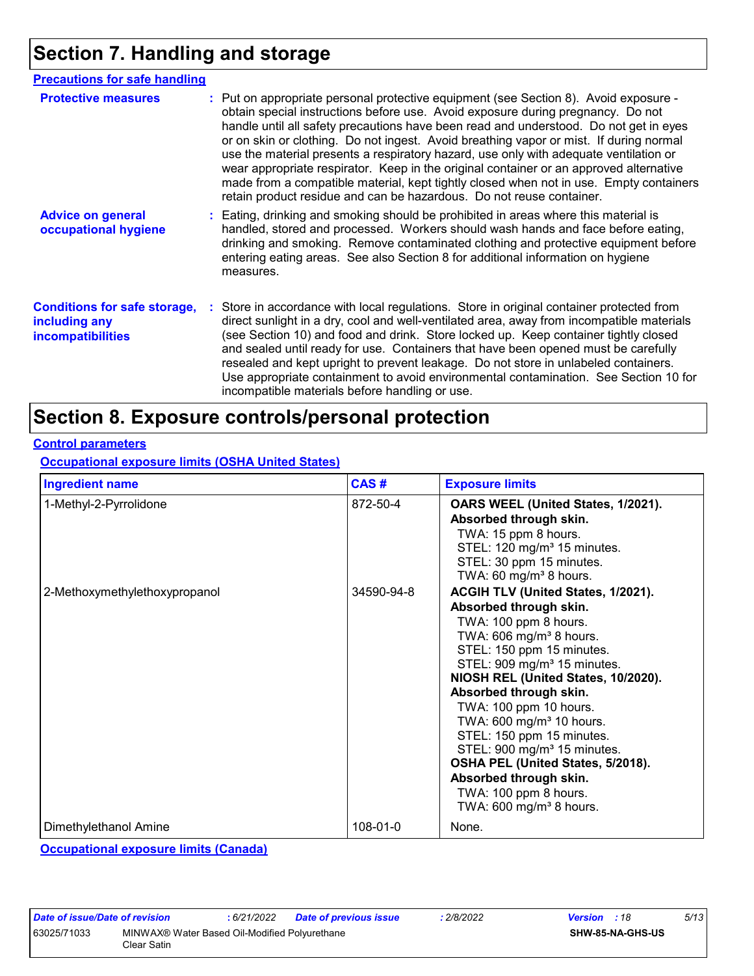## **Section 7. Handling and storage**

| <b>Precautions for safe handling</b>                                             |                                                                                                                                                                                                                                                                                                                                                                                                                                                                                                                                                                                                                                                                                                                 |
|----------------------------------------------------------------------------------|-----------------------------------------------------------------------------------------------------------------------------------------------------------------------------------------------------------------------------------------------------------------------------------------------------------------------------------------------------------------------------------------------------------------------------------------------------------------------------------------------------------------------------------------------------------------------------------------------------------------------------------------------------------------------------------------------------------------|
| <b>Protective measures</b>                                                       | : Put on appropriate personal protective equipment (see Section 8). Avoid exposure -<br>obtain special instructions before use. Avoid exposure during pregnancy. Do not<br>handle until all safety precautions have been read and understood. Do not get in eyes<br>or on skin or clothing. Do not ingest. Avoid breathing vapor or mist. If during normal<br>use the material presents a respiratory hazard, use only with adequate ventilation or<br>wear appropriate respirator. Keep in the original container or an approved alternative<br>made from a compatible material, kept tightly closed when not in use. Empty containers<br>retain product residue and can be hazardous. Do not reuse container. |
| <b>Advice on general</b><br>occupational hygiene                                 | : Eating, drinking and smoking should be prohibited in areas where this material is<br>handled, stored and processed. Workers should wash hands and face before eating,<br>drinking and smoking. Remove contaminated clothing and protective equipment before<br>entering eating areas. See also Section 8 for additional information on hygiene<br>measures.                                                                                                                                                                                                                                                                                                                                                   |
| <b>Conditions for safe storage,</b><br>including any<br><i>incompatibilities</i> | : Store in accordance with local regulations. Store in original container protected from<br>direct sunlight in a dry, cool and well-ventilated area, away from incompatible materials<br>(see Section 10) and food and drink. Store locked up. Keep container tightly closed<br>and sealed until ready for use. Containers that have been opened must be carefully<br>resealed and kept upright to prevent leakage. Do not store in unlabeled containers.<br>Use appropriate containment to avoid environmental contamination. See Section 10 for<br>incompatible materials before handling or use.                                                                                                             |

## **Section 8. Exposure controls/personal protection**

#### **Control parameters**

**Occupational exposure limits (OSHA United States)**

| <b>Ingredient name</b>        | CAS#       | <b>Exposure limits</b>                                                                                                                                                                                                                                                                                                                                                                                                                                                                                                                         |
|-------------------------------|------------|------------------------------------------------------------------------------------------------------------------------------------------------------------------------------------------------------------------------------------------------------------------------------------------------------------------------------------------------------------------------------------------------------------------------------------------------------------------------------------------------------------------------------------------------|
| 1-Methyl-2-Pyrrolidone        | 872-50-4   | OARS WEEL (United States, 1/2021).<br>Absorbed through skin.<br>TWA: 15 ppm 8 hours.<br>STEL: 120 mg/m <sup>3</sup> 15 minutes.<br>STEL: 30 ppm 15 minutes.<br>TWA: 60 mg/m <sup>3</sup> 8 hours.                                                                                                                                                                                                                                                                                                                                              |
| 2-Methoxymethylethoxypropanol | 34590-94-8 | ACGIH TLV (United States, 1/2021).<br>Absorbed through skin.<br>TWA: 100 ppm 8 hours.<br>TWA: 606 mg/m <sup>3</sup> 8 hours.<br>STEL: 150 ppm 15 minutes.<br>STEL: 909 mg/m <sup>3</sup> 15 minutes.<br>NIOSH REL (United States, 10/2020).<br>Absorbed through skin.<br>TWA: 100 ppm 10 hours.<br>TWA: 600 mg/m <sup>3</sup> 10 hours.<br>STEL: 150 ppm 15 minutes.<br>STEL: 900 mg/m <sup>3</sup> 15 minutes.<br>OSHA PEL (United States, 5/2018).<br>Absorbed through skin.<br>TWA: 100 ppm 8 hours.<br>TWA: 600 mg/m <sup>3</sup> 8 hours. |
| Dimethylethanol Amine         | 108-01-0   | None.                                                                                                                                                                                                                                                                                                                                                                                                                                                                                                                                          |

**Occupational exposure limits (Canada)**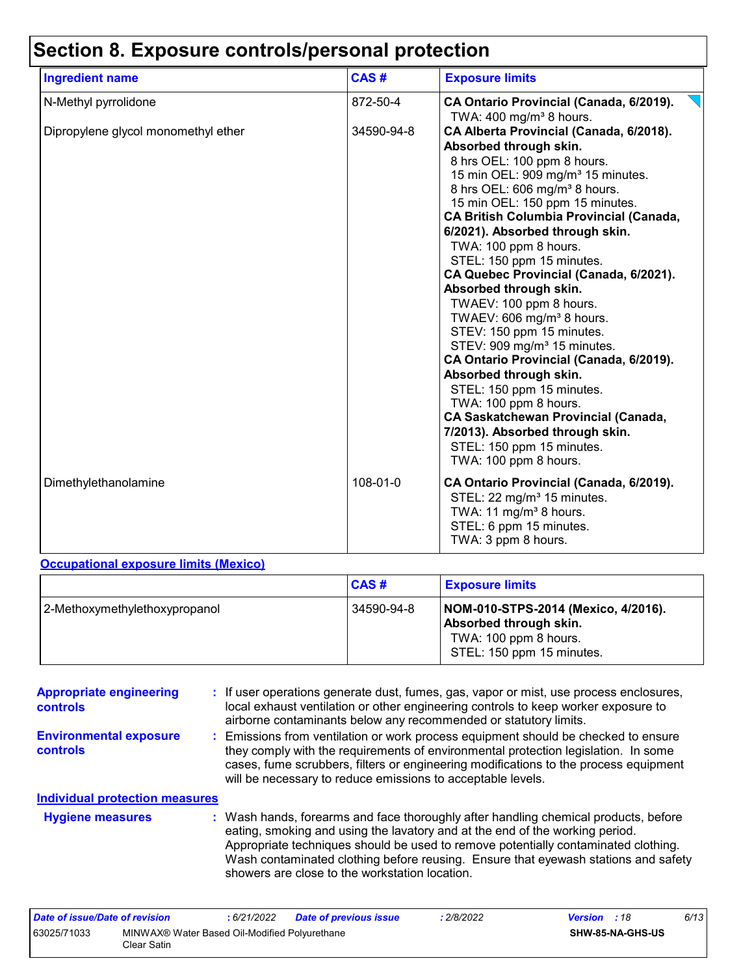## **Section 8. Exposure controls/personal protection**

| <b>Ingredient name</b>              | CAS#       | <b>Exposure limits</b>                                                                                                                                                                                                                                                                                                                                                                                                                                                                                                                                                                                                                                                                                                               |
|-------------------------------------|------------|--------------------------------------------------------------------------------------------------------------------------------------------------------------------------------------------------------------------------------------------------------------------------------------------------------------------------------------------------------------------------------------------------------------------------------------------------------------------------------------------------------------------------------------------------------------------------------------------------------------------------------------------------------------------------------------------------------------------------------------|
| N-Methyl pyrrolidone                | 872-50-4   | CA Ontario Provincial (Canada, 6/2019).                                                                                                                                                                                                                                                                                                                                                                                                                                                                                                                                                                                                                                                                                              |
| Dipropylene glycol monomethyl ether | 34590-94-8 | TWA: $400 \text{ mg/m}^3$ 8 hours.<br>CA Alberta Provincial (Canada, 6/2018).<br>Absorbed through skin.<br>8 hrs OEL: 100 ppm 8 hours.<br>15 min OEL: 909 mg/m <sup>3</sup> 15 minutes.<br>8 hrs OEL: 606 mg/m <sup>3</sup> 8 hours.<br>15 min OEL: 150 ppm 15 minutes.<br><b>CA British Columbia Provincial (Canada,</b><br>6/2021). Absorbed through skin.<br>TWA: 100 ppm 8 hours.<br>STEL: 150 ppm 15 minutes.<br>CA Quebec Provincial (Canada, 6/2021).<br>Absorbed through skin.<br>TWAEV: 100 ppm 8 hours.<br>TWAEV: 606 mg/m <sup>3</sup> 8 hours.<br>STEV: 150 ppm 15 minutes.<br>STEV: 909 mg/m <sup>3</sup> 15 minutes.<br>CA Ontario Provincial (Canada, 6/2019).<br>Absorbed through skin.<br>STEL: 150 ppm 15 minutes. |
|                                     |            | TWA: 100 ppm 8 hours.<br><b>CA Saskatchewan Provincial (Canada,</b><br>7/2013). Absorbed through skin.<br>STEL: 150 ppm 15 minutes.<br>TWA: 100 ppm 8 hours.                                                                                                                                                                                                                                                                                                                                                                                                                                                                                                                                                                         |
| Dimethylethanolamine                | 108-01-0   | CA Ontario Provincial (Canada, 6/2019).<br>STEL: 22 mg/m <sup>3</sup> 15 minutes.<br>TWA: 11 mg/m <sup>3</sup> 8 hours.<br>STEL: 6 ppm 15 minutes.<br>TWA: 3 ppm 8 hours.                                                                                                                                                                                                                                                                                                                                                                                                                                                                                                                                                            |

#### **Occupational exposure limits (Mexico)**

|                               | CAS#       | <b>Exposure limits</b>                                                                                              |
|-------------------------------|------------|---------------------------------------------------------------------------------------------------------------------|
| 2-Methoxymethylethoxypropanol | 34590-94-8 | NOM-010-STPS-2014 (Mexico, 4/2016).<br>Absorbed through skin.<br>TWA: 100 ppm 8 hours.<br>STEL: 150 ppm 15 minutes. |

| <b>Appropriate engineering</b><br>controls | : If user operations generate dust, fumes, gas, vapor or mist, use process enclosures,<br>local exhaust ventilation or other engineering controls to keep worker exposure to<br>airborne contaminants below any recommended or statutory limits.                                                                                                                                                  |
|--------------------------------------------|---------------------------------------------------------------------------------------------------------------------------------------------------------------------------------------------------------------------------------------------------------------------------------------------------------------------------------------------------------------------------------------------------|
| <b>Environmental exposure</b><br>controls  | : Emissions from ventilation or work process equipment should be checked to ensure<br>they comply with the requirements of environmental protection legislation. In some<br>cases, fume scrubbers, filters or engineering modifications to the process equipment<br>will be necessary to reduce emissions to acceptable levels.                                                                   |
| <b>Individual protection measures</b>      |                                                                                                                                                                                                                                                                                                                                                                                                   |
| <b>Hygiene measures</b>                    | : Wash hands, forearms and face thoroughly after handling chemical products, before<br>eating, smoking and using the lavatory and at the end of the working period.<br>Appropriate techniques should be used to remove potentially contaminated clothing.<br>Wash contaminated clothing before reusing. Ensure that eyewash stations and safety<br>showers are close to the workstation location. |

| Date of issue/Date of revision |                                                              | : 6/21/2022 | <b>Date of previous issue</b> | : 2/8/2022 | <b>Version</b> : 18 |                         | 6/13 |
|--------------------------------|--------------------------------------------------------------|-------------|-------------------------------|------------|---------------------|-------------------------|------|
| 63025/71033                    | MINWAX® Water Based Oil-Modified Polyurethane<br>Clear Satin |             |                               |            |                     | <b>SHW-85-NA-GHS-US</b> |      |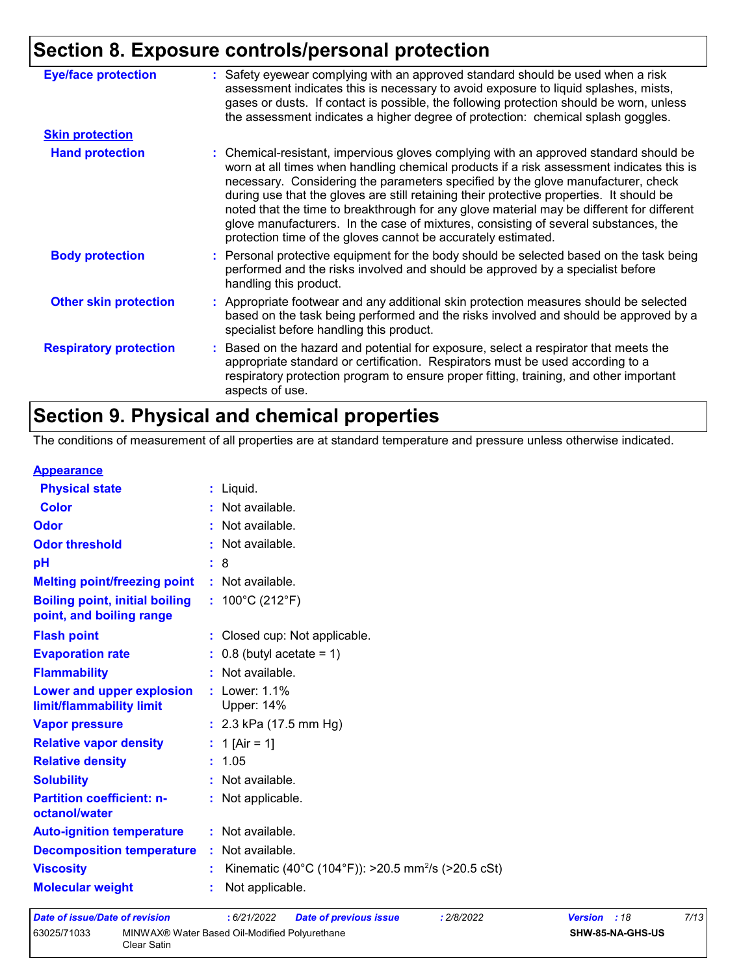## **Section 8. Exposure controls/personal protection**

| : Safety eyewear complying with an approved standard should be used when a risk<br>assessment indicates this is necessary to avoid exposure to liquid splashes, mists,<br>gases or dusts. If contact is possible, the following protection should be worn, unless<br>the assessment indicates a higher degree of protection: chemical splash goggles.                                                                                                                                                                                                                                                                  |
|------------------------------------------------------------------------------------------------------------------------------------------------------------------------------------------------------------------------------------------------------------------------------------------------------------------------------------------------------------------------------------------------------------------------------------------------------------------------------------------------------------------------------------------------------------------------------------------------------------------------|
|                                                                                                                                                                                                                                                                                                                                                                                                                                                                                                                                                                                                                        |
| : Chemical-resistant, impervious gloves complying with an approved standard should be<br>worn at all times when handling chemical products if a risk assessment indicates this is<br>necessary. Considering the parameters specified by the glove manufacturer, check<br>during use that the gloves are still retaining their protective properties. It should be<br>noted that the time to breakthrough for any glove material may be different for different<br>glove manufacturers. In the case of mixtures, consisting of several substances, the<br>protection time of the gloves cannot be accurately estimated. |
| : Personal protective equipment for the body should be selected based on the task being<br>performed and the risks involved and should be approved by a specialist before<br>handling this product.                                                                                                                                                                                                                                                                                                                                                                                                                    |
| : Appropriate footwear and any additional skin protection measures should be selected<br>based on the task being performed and the risks involved and should be approved by a<br>specialist before handling this product.                                                                                                                                                                                                                                                                                                                                                                                              |
| : Based on the hazard and potential for exposure, select a respirator that meets the<br>appropriate standard or certification. Respirators must be used according to a<br>respiratory protection program to ensure proper fitting, training, and other important<br>aspects of use.                                                                                                                                                                                                                                                                                                                                    |
|                                                                                                                                                                                                                                                                                                                                                                                                                                                                                                                                                                                                                        |

## **Section 9. Physical and chemical properties**

The conditions of measurement of all properties are at standard temperature and pressure unless otherwise indicated.

#### **Appearance**

| <b>Physical state</b>                                             | $:$ Liquid.                                                    |
|-------------------------------------------------------------------|----------------------------------------------------------------|
| <b>Color</b>                                                      | : Not available.                                               |
| Odor                                                              | : Not available.                                               |
| <b>Odor threshold</b>                                             | : Not available.                                               |
| pH                                                                | : 8                                                            |
| <b>Melting point/freezing point</b>                               | : Not available.                                               |
| <b>Boiling point, initial boiling</b><br>point, and boiling range | : $100^{\circ}$ C (212 $^{\circ}$ F)                           |
| <b>Flash point</b>                                                | : Closed cup: Not applicable.                                  |
| <b>Evaporation rate</b>                                           | $\therefore$ 0.8 (butyl acetate = 1)                           |
| <b>Flammability</b>                                               | : Not available.                                               |
| Lower and upper explosion<br>limit/flammability limit             | : Lower: 1.1%<br>Upper: 14%                                    |
| <b>Vapor pressure</b>                                             | : $2.3$ kPa (17.5 mm Hg)                                       |
| <b>Relative vapor density</b>                                     | : 1 [Air = 1]                                                  |
| <b>Relative density</b>                                           | : 1.05                                                         |
| <b>Solubility</b>                                                 | : Not available.                                               |
| <b>Partition coefficient: n-</b><br>octanol/water                 | : Not applicable.                                              |
| <b>Auto-ignition temperature</b>                                  | : Not available.                                               |
| <b>Decomposition temperature</b>                                  | : Not available.                                               |
| <b>Viscosity</b>                                                  | Kinematic (40°C (104°F)): >20.5 mm <sup>2</sup> /s (>20.5 cSt) |
| <b>Molecular weight</b>                                           | Not applicable.                                                |

| Date of issue/Date of revision |                                                              | : 6/21/2022 | <b>Date of previous issue</b> | : 2/8/2022 | <b>Version</b> : 18     | 7/13 |
|--------------------------------|--------------------------------------------------------------|-------------|-------------------------------|------------|-------------------------|------|
| 63025/71033                    | MINWAX® Water Based Oil-Modified Polyurethane<br>Clear Satin |             |                               |            | <b>SHW-85-NA-GHS-US</b> |      |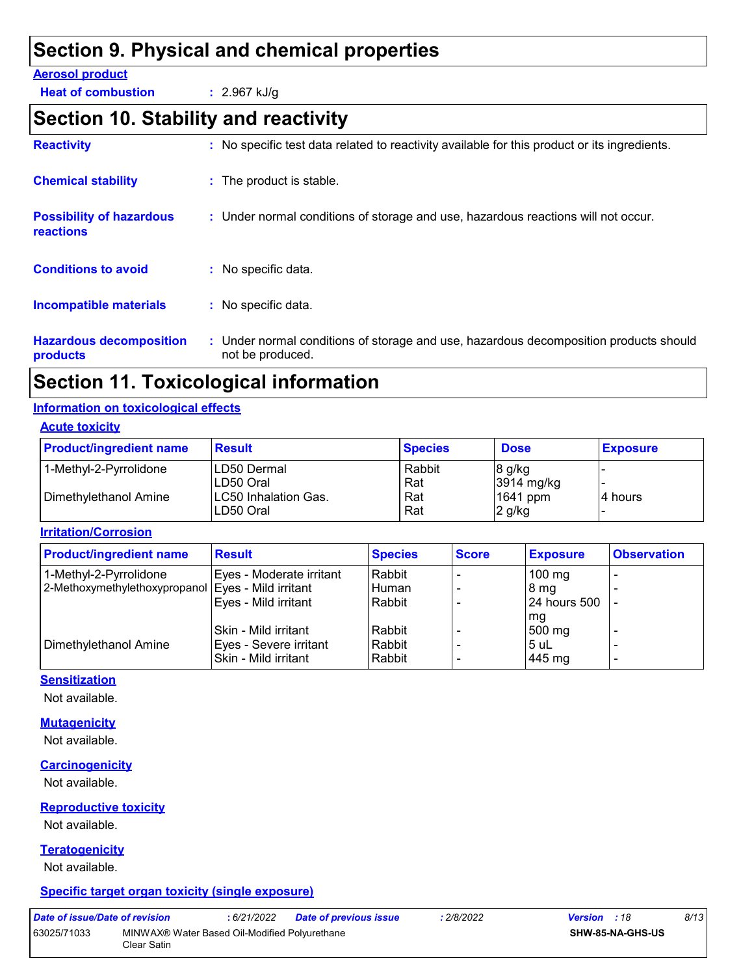## **Section 9. Physical and chemical properties**

#### **Aerosol product**

**Heat of combustion :** 2.967 kJ/g

## **Section 10. Stability and reactivity**

| <b>Reactivity</b>                                   | : No specific test data related to reactivity available for this product or its ingredients.              |
|-----------------------------------------------------|-----------------------------------------------------------------------------------------------------------|
| <b>Chemical stability</b>                           | : The product is stable.                                                                                  |
| <b>Possibility of hazardous</b><br><b>reactions</b> | : Under normal conditions of storage and use, hazardous reactions will not occur.                         |
| <b>Conditions to avoid</b>                          | $:$ No specific data.                                                                                     |
| <b>Incompatible materials</b>                       | : No specific data.                                                                                       |
| <b>Hazardous decomposition</b><br>products          | : Under normal conditions of storage and use, hazardous decomposition products should<br>not be produced. |

## **Section 11. Toxicological information**

#### **Information on toxicological effects**

#### **Acute toxicity**

| <b>Product/ingredient name</b> | <b>Result</b>                             | <b>Species</b> | <b>Dose</b>            | <b>Exposure</b> |
|--------------------------------|-------------------------------------------|----------------|------------------------|-----------------|
| 1-Methyl-2-Pyrrolidone         | ILD50 Dermal<br>ILD50 Oral                | Rabbit<br>Rat  | 8 g/kg<br>$3914$ mg/kg |                 |
| Dimethylethanol Amine          | <b>ILC50 Inhalation Gas.</b><br>LD50 Oral | Rat<br>Rat     | 1641 ppm<br>$2$ g/kg   | l4 hours        |

**Irritation/Corrosion**

| <b>Product/ingredient name</b> | <b>Result</b>            | <b>Species</b> | <b>Score</b> | <b>Exposure</b>     | <b>Observation</b>       |
|--------------------------------|--------------------------|----------------|--------------|---------------------|--------------------------|
| 1-Methyl-2-Pyrrolidone         | Eyes - Moderate irritant | Rabbit         |              | $100$ mg            |                          |
| 2-Methoxymethylethoxypropanol  | Eyes - Mild irritant     | Human          |              | 8 mg                |                          |
|                                | Eyes - Mild irritant     | Rabbit         |              | <b>24 hours 500</b> |                          |
|                                |                          |                |              | mg                  |                          |
|                                | Skin - Mild irritant     | Rabbit         |              | 500 mg              |                          |
| Dimethylethanol Amine          | Eyes - Severe irritant   | Rabbit         |              | 5 uL                |                          |
|                                | Skin - Mild irritant     | Rabbit         |              | 445 mg              | $\overline{\phantom{0}}$ |

#### **Sensitization**

Not available.

#### **Mutagenicity**

Not available.

#### **Carcinogenicity**

Not available.

#### **Reproductive toxicity**

Not available.

#### **Teratogenicity**

Not available.

#### **Specific target organ toxicity (single exposure)**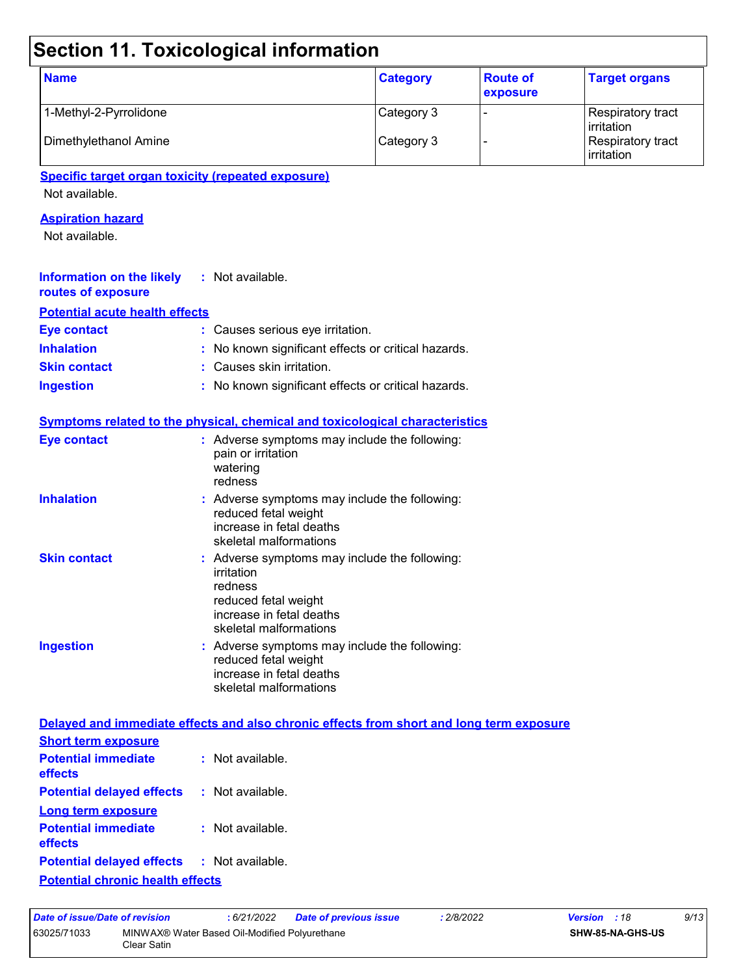## **Section 11. Toxicological information**

| <b>Name</b>            | <b>Category</b> | <b>Route of</b><br>exposure | <b>Target organs</b>                     |
|------------------------|-----------------|-----------------------------|------------------------------------------|
| 1-Methyl-2-Pyrrolidone | Category 3      |                             | Respiratory tract<br><b>l</b> irritation |
| Dimethylethanol Amine  | Category 3      |                             | Respiratory tract<br>irritation          |

#### **Specific target organ toxicity (repeated exposure)**

Not available.

#### **Aspiration hazard**

Not available.

| <b>Information on the likely</b> : Not available.<br>routes of exposure |                                                     |
|-------------------------------------------------------------------------|-----------------------------------------------------|
| <b>Potential acute health effects</b>                                   |                                                     |
| Eye contact                                                             | : Causes serious eye irritation.                    |
| <b>Inhalation</b>                                                       | : No known significant effects or critical hazards. |
| <b>Skin contact</b>                                                     | : Causes skin irritation.                           |
| <b>Ingestion</b>                                                        | : No known significant effects or critical hazards. |

|                     | <b>Symptoms related to the physical, chemical and toxicological characteristics</b>                                                                  |
|---------------------|------------------------------------------------------------------------------------------------------------------------------------------------------|
| <b>Eye contact</b>  | $:$ Adverse symptoms may include the following:<br>pain or irritation<br>watering<br>redness                                                         |
| <b>Inhalation</b>   | : Adverse symptoms may include the following:<br>reduced fetal weight<br>increase in fetal deaths<br>skeletal malformations                          |
| <b>Skin contact</b> | : Adverse symptoms may include the following:<br>irritation<br>redness<br>reduced fetal weight<br>increase in fetal deaths<br>skeletal malformations |
| <b>Ingestion</b>    | : Adverse symptoms may include the following:<br>reduced fetal weight<br>increase in fetal deaths<br>skeletal malformations                          |

#### **Delayed and immediate effects and also chronic effects from short and long term exposure**

| <b>Short term exposure</b>                        |                    |
|---------------------------------------------------|--------------------|
| <b>Potential immediate</b><br>effects             | $:$ Not available. |
| <b>Potential delayed effects</b>                  | : Not available.   |
| Long term exposure                                |                    |
| <b>Potential immediate</b><br>effects             | : Not available.   |
| <b>Potential delayed effects : Not available.</b> |                    |
| <b>Potential chronic health effects</b>           |                    |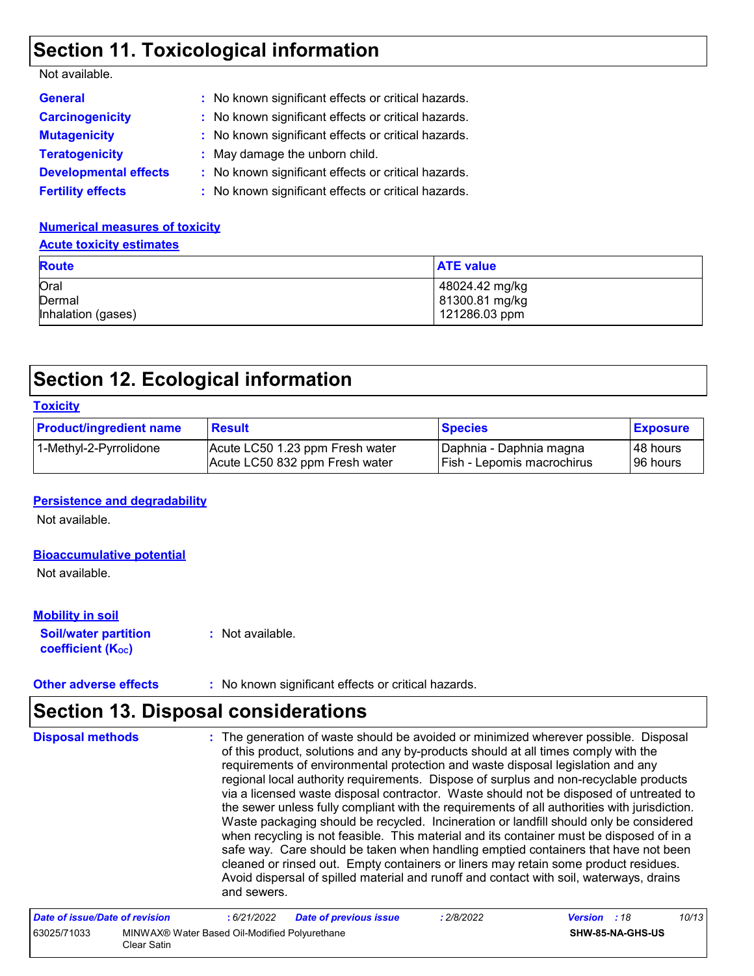### **Section 11. Toxicological information**

| Not available. |  |
|----------------|--|
|----------------|--|

| <b>General</b>               | : No known significant effects or critical hazards. |
|------------------------------|-----------------------------------------------------|
| <b>Carcinogenicity</b>       | : No known significant effects or critical hazards. |
| <b>Mutagenicity</b>          | : No known significant effects or critical hazards. |
| <b>Teratogenicity</b>        | : May damage the unborn child.                      |
| <b>Developmental effects</b> | : No known significant effects or critical hazards. |
| <b>Fertility effects</b>     | : No known significant effects or critical hazards. |

#### **Numerical measures of toxicity Acute toxicity estimates**

| <b>Route</b>       | <b>ATE value</b> |
|--------------------|------------------|
| Oral               | 48024.42 mg/kg   |
| Dermal             | 81300.81 mg/kg   |
| Inhalation (gases) | 121286.03 ppm    |

## **Section 12. Ecological information**

| <b>Toxicity</b>                |                                                                   |                                                       |                        |  |  |
|--------------------------------|-------------------------------------------------------------------|-------------------------------------------------------|------------------------|--|--|
| <b>Product/ingredient name</b> | <b>Result</b>                                                     | <b>Species</b>                                        | <b>Exposure</b>        |  |  |
| 1-Methyl-2-Pyrrolidone         | Acute LC50 1.23 ppm Fresh water<br>Acute LC50 832 ppm Fresh water | Daphnia - Daphnia magna<br>Fish - Lepomis macrochirus | 48 hours<br>l 96 hours |  |  |

#### **Persistence and degradability**

Not available.

#### **Bioaccumulative potential**

Not available.

#### **Mobility in soil**

**Soil/water partition coefficient (K**<sub>oc</sub>)

**:** Not available.

**Other adverse effects** : No known significant effects or critical hazards.

## **Section 13. Disposal considerations**

The generation of waste should be avoided or minimized wherever possible. Disposal of this product, solutions and any by-products should at all times comply with the requirements of environmental protection and waste disposal legislation and any regional local authority requirements. Dispose of surplus and non-recyclable products via a licensed waste disposal contractor. Waste should not be disposed of untreated to the sewer unless fully compliant with the requirements of all authorities with jurisdiction. Waste packaging should be recycled. Incineration or landfill should only be considered when recycling is not feasible. This material and its container must be disposed of in a safe way. Care should be taken when handling emptied containers that have not been cleaned or rinsed out. Empty containers or liners may retain some product residues. Avoid dispersal of spilled material and runoff and contact with soil, waterways, drains and sewers. **Disposal methods :**

| Date of issue/Date of revision |                                                               | : 6/21/2022 | <b>Date of previous issue</b> | 2/8/2022 | <b>Version</b> : 18 |                         | 10/13 |
|--------------------------------|---------------------------------------------------------------|-------------|-------------------------------|----------|---------------------|-------------------------|-------|
| 63025/71033                    | MINWAX® Water Based Oil-Modified Polyurethane<br>Clear Satin_ |             |                               |          |                     | <b>SHW-85-NA-GHS-US</b> |       |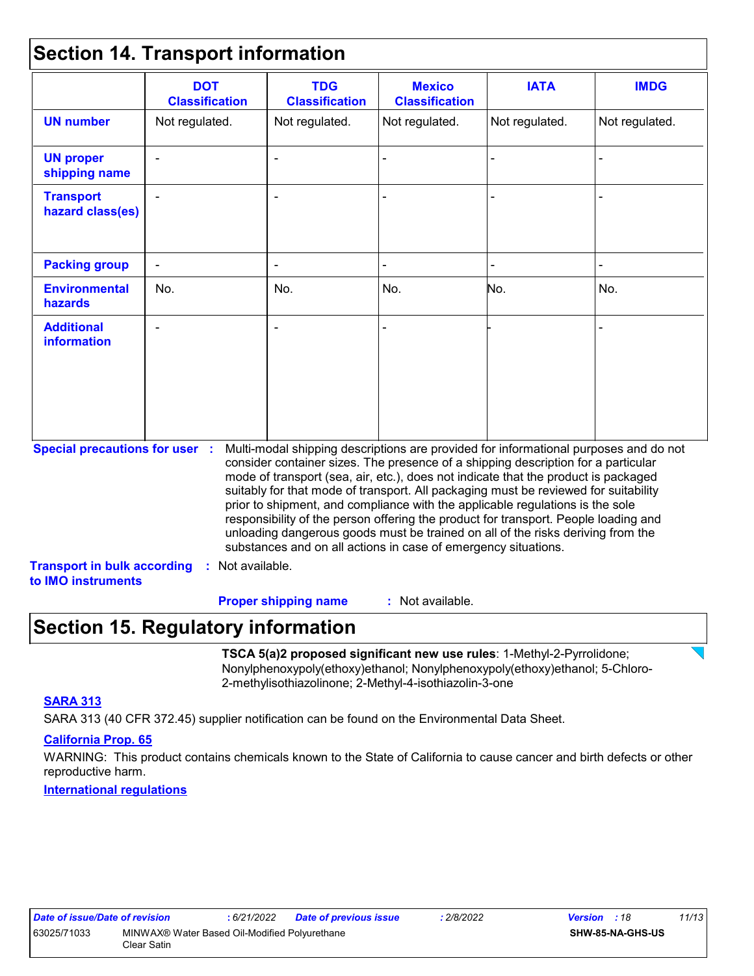### **Section 14. Transport information**

|                                                                             | <b>DOT</b><br><b>Classification</b> | <b>TDG</b><br><b>Classification</b>                                                                                                                                                                                                                                                                                                                                                                                                                                                                                                                                                                                                                                                 | <b>Mexico</b><br><b>Classification</b> | <b>IATA</b>    | <b>IMDG</b>    |
|-----------------------------------------------------------------------------|-------------------------------------|-------------------------------------------------------------------------------------------------------------------------------------------------------------------------------------------------------------------------------------------------------------------------------------------------------------------------------------------------------------------------------------------------------------------------------------------------------------------------------------------------------------------------------------------------------------------------------------------------------------------------------------------------------------------------------------|----------------------------------------|----------------|----------------|
| <b>UN number</b>                                                            | Not regulated.                      | Not regulated.                                                                                                                                                                                                                                                                                                                                                                                                                                                                                                                                                                                                                                                                      | Not regulated.                         | Not regulated. | Not regulated. |
| <b>UN proper</b><br>shipping name                                           |                                     |                                                                                                                                                                                                                                                                                                                                                                                                                                                                                                                                                                                                                                                                                     |                                        |                |                |
| <b>Transport</b><br>hazard class(es)                                        |                                     |                                                                                                                                                                                                                                                                                                                                                                                                                                                                                                                                                                                                                                                                                     |                                        |                |                |
| <b>Packing group</b>                                                        |                                     |                                                                                                                                                                                                                                                                                                                                                                                                                                                                                                                                                                                                                                                                                     |                                        |                |                |
| <b>Environmental</b><br>hazards                                             | No.                                 | No.                                                                                                                                                                                                                                                                                                                                                                                                                                                                                                                                                                                                                                                                                 | No.                                    | No.            | No.            |
| <b>Additional</b><br><b>information</b>                                     |                                     |                                                                                                                                                                                                                                                                                                                                                                                                                                                                                                                                                                                                                                                                                     |                                        |                |                |
| <b>Special precautions for user :</b><br><b>Transport in bulk according</b> | Not available.                      | Multi-modal shipping descriptions are provided for informational purposes and do not<br>consider container sizes. The presence of a shipping description for a particular<br>mode of transport (sea, air, etc.), does not indicate that the product is packaged<br>suitably for that mode of transport. All packaging must be reviewed for suitability<br>prior to shipment, and compliance with the applicable regulations is the sole<br>responsibility of the person offering the product for transport. People loading and<br>unloading dangerous goods must be trained on all of the risks deriving from the<br>substances and on all actions in case of emergency situations. |                                        |                |                |

## **Section 15. Regulatory information**

**TSCA 5(a)2 proposed significant new use rules**: 1-Methyl-2-Pyrrolidone; Nonylphenoxypoly(ethoxy)ethanol; Nonylphenoxypoly(ethoxy)ethanol; 5-Chloro-2-methylisothiazolinone; 2-Methyl-4-isothiazolin-3-one

#### **SARA 313**

SARA 313 (40 CFR 372.45) supplier notification can be found on the Environmental Data Sheet.

#### **California Prop. 65**

WARNING: This product contains chemicals known to the State of California to cause cancer and birth defects or other reproductive harm.

**International regulations**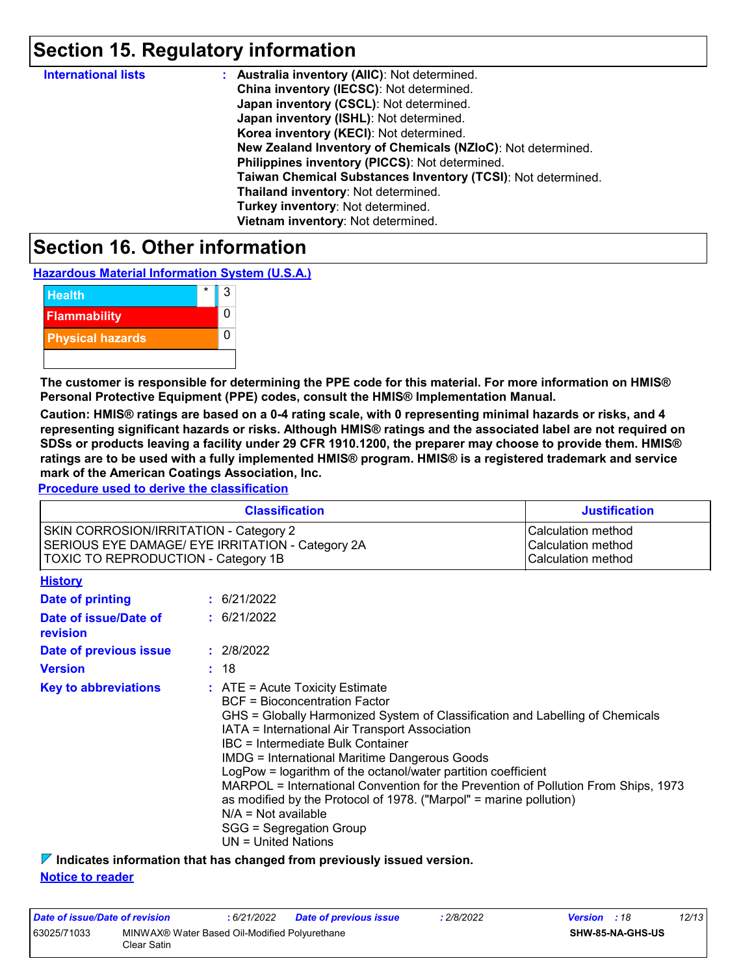## **Section 15. Regulatory information**

| <b>International lists</b> | : Australia inventory (AIIC): Not determined.                |
|----------------------------|--------------------------------------------------------------|
|                            | China inventory (IECSC): Not determined.                     |
|                            | Japan inventory (CSCL): Not determined.                      |
|                            | Japan inventory (ISHL): Not determined.                      |
|                            | Korea inventory (KECI): Not determined.                      |
|                            | New Zealand Inventory of Chemicals (NZIoC): Not determined.  |
|                            | Philippines inventory (PICCS): Not determined.               |
|                            | Taiwan Chemical Substances Inventory (TCSI): Not determined. |
|                            | Thailand inventory: Not determined.                          |
|                            | Turkey inventory: Not determined.                            |
|                            | Vietnam inventory: Not determined.                           |

### **Section 16. Other information**

**Hazardous Material Information System (U.S.A.)**



**The customer is responsible for determining the PPE code for this material. For more information on HMIS® Personal Protective Equipment (PPE) codes, consult the HMIS® Implementation Manual.**

**Caution: HMIS® ratings are based on a 0-4 rating scale, with 0 representing minimal hazards or risks, and 4 representing significant hazards or risks. Although HMIS® ratings and the associated label are not required on SDSs or products leaving a facility under 29 CFR 1910.1200, the preparer may choose to provide them. HMIS® ratings are to be used with a fully implemented HMIS® program. HMIS® is a registered trademark and service mark of the American Coatings Association, Inc.**

**Procedure used to derive the classification**

|                                                                                      | <b>Classification</b>                                                                                                                                                                                                                                                                                                                                                                                                                                                                                                                                                                                                        | <b>Justification</b>                                           |
|--------------------------------------------------------------------------------------|------------------------------------------------------------------------------------------------------------------------------------------------------------------------------------------------------------------------------------------------------------------------------------------------------------------------------------------------------------------------------------------------------------------------------------------------------------------------------------------------------------------------------------------------------------------------------------------------------------------------------|----------------------------------------------------------------|
| SKIN CORROSION/IRRITATION - Category 2<br><b>TOXIC TO REPRODUCTION - Category 1B</b> | SERIOUS EYE DAMAGE/ EYE IRRITATION - Category 2A                                                                                                                                                                                                                                                                                                                                                                                                                                                                                                                                                                             | Calculation method<br>Calculation method<br>Calculation method |
| <b>History</b>                                                                       |                                                                                                                                                                                                                                                                                                                                                                                                                                                                                                                                                                                                                              |                                                                |
| <b>Date of printing</b>                                                              | : 6/21/2022                                                                                                                                                                                                                                                                                                                                                                                                                                                                                                                                                                                                                  |                                                                |
| Date of issue/Date of<br>revision                                                    | : 6/21/2022                                                                                                                                                                                                                                                                                                                                                                                                                                                                                                                                                                                                                  |                                                                |
| Date of previous issue                                                               | : 2/8/2022                                                                                                                                                                                                                                                                                                                                                                                                                                                                                                                                                                                                                   |                                                                |
| <b>Version</b>                                                                       | : 18                                                                                                                                                                                                                                                                                                                                                                                                                                                                                                                                                                                                                         |                                                                |
| <b>Key to abbreviations</b>                                                          | $\therefore$ ATE = Acute Toxicity Estimate<br><b>BCF</b> = Bioconcentration Factor<br>GHS = Globally Harmonized System of Classification and Labelling of Chemicals<br>IATA = International Air Transport Association<br>IBC = Intermediate Bulk Container<br><b>IMDG = International Maritime Dangerous Goods</b><br>LogPow = logarithm of the octanol/water partition coefficient<br>MARPOL = International Convention for the Prevention of Pollution From Ships, 1973<br>as modified by the Protocol of 1978. ("Marpol" = marine pollution)<br>$N/A = Not available$<br>SGG = Segregation Group<br>$UN = United Nations$ |                                                                |

**Indicates information that has changed from previously issued version.**

#### **Notice to reader**

| Date of issue/Date of revision                                              |  | 6/21/2022 | <b>Date of previous issue</b> | : 2/8/2022              | <b>Version</b> : 18 |  | 12/13 |
|-----------------------------------------------------------------------------|--|-----------|-------------------------------|-------------------------|---------------------|--|-------|
| 63025/71033<br>MINWAX® Water Based Oil-Modified Polyurethane<br>Clear Satin |  |           |                               | <b>SHW-85-NA-GHS-US</b> |                     |  |       |